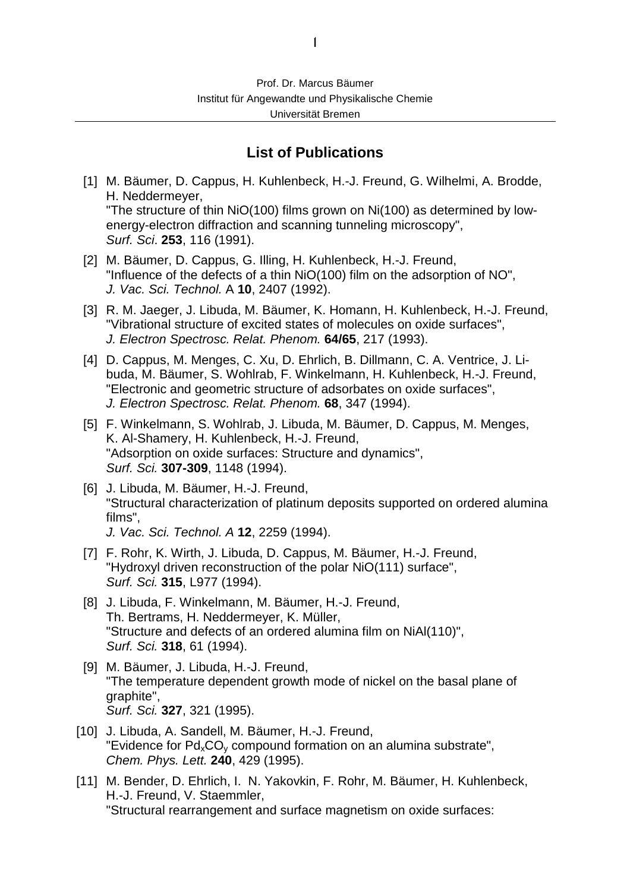## **List of Publications**

- [1] M. Bäumer, D. Cappus, H. Kuhlenbeck, H.-J. Freund, G. Wilhelmi, A. Brodde, H. Neddermeyer, "The structure of thin NiO(100) films grown on Ni(100) as determined by lowenergy-electron diffraction and scanning tunneling microscopy", Surf. Sci. **253**, 116 (1991).
- [2] M. Bäumer, D. Cappus, G. Illing, H. Kuhlenbeck, H.-J. Freund, "Influence of the defects of a thin NiO(100) film on the adsorption of NO", J. Vac. Sci. Technol. A **10**, 2407 (1992).
- [3] R. M. Jaeger, J. Libuda, M. Bäumer, K. Homann, H. Kuhlenbeck, H.-J. Freund, "Vibrational structure of excited states of molecules on oxide surfaces", J. Electron Spectrosc. Relat. Phenom. **64/65**, 217 (1993).
- [4] D. Cappus, M. Menges, C. Xu, D. Ehrlich, B. Dillmann, C. A. Ventrice, J. Libuda, M. Bäumer, S. Wohlrab, F. Winkelmann, H. Kuhlenbeck, H.-J. Freund, "Electronic and geometric structure of adsorbates on oxide surfaces", J. Electron Spectrosc. Relat. Phenom. **68**, 347 (1994).
- [5] F. Winkelmann, S. Wohlrab, J. Libuda, M. Bäumer, D. Cappus, M. Menges, K. Al-Shamery, H. Kuhlenbeck, H.-J. Freund, "Adsorption on oxide surfaces: Structure and dynamics", Surf. Sci. **307-309**, 1148 (1994).
- [6] J. Libuda, M. Bäumer, H.-J. Freund, "Structural characterization of platinum deposits supported on ordered alumina films", J. Vac. Sci. Technol. A **12**, 2259 (1994).
- [7] F. Rohr, K. Wirth, J. Libuda, D. Cappus, M. Bäumer, H.-J. Freund, "Hydroxyl driven reconstruction of the polar NiO(111) surface", Surf. Sci. **315**, L977 (1994).
- [8] J. Libuda, F. Winkelmann, M. Bäumer, H.-J. Freund, Th. Bertrams, H. Neddermeyer, K. Müller, "Structure and defects of an ordered alumina film on NiAl(110)", Surf. Sci. **318**, 61 (1994).
- [9] M. Bäumer, J. Libuda, H.-J. Freund, "The temperature dependent growth mode of nickel on the basal plane of graphite", Surf. Sci. **327**, 321 (1995).
- [10] J. Libuda, A. Sandell, M. Bäumer, H.-J. Freund, "Evidence for  $Pd_{x}CO_{y}$  compound formation on an alumina substrate", Chem. Phys. Lett. **240**, 429 (1995).
- [11] M. Bender, D. Ehrlich, I. N. Yakovkin, F. Rohr, M. Bäumer, H. Kuhlenbeck, H.-J. Freund, V. Staemmler, "Structural rearrangement and surface magnetism on oxide surfaces: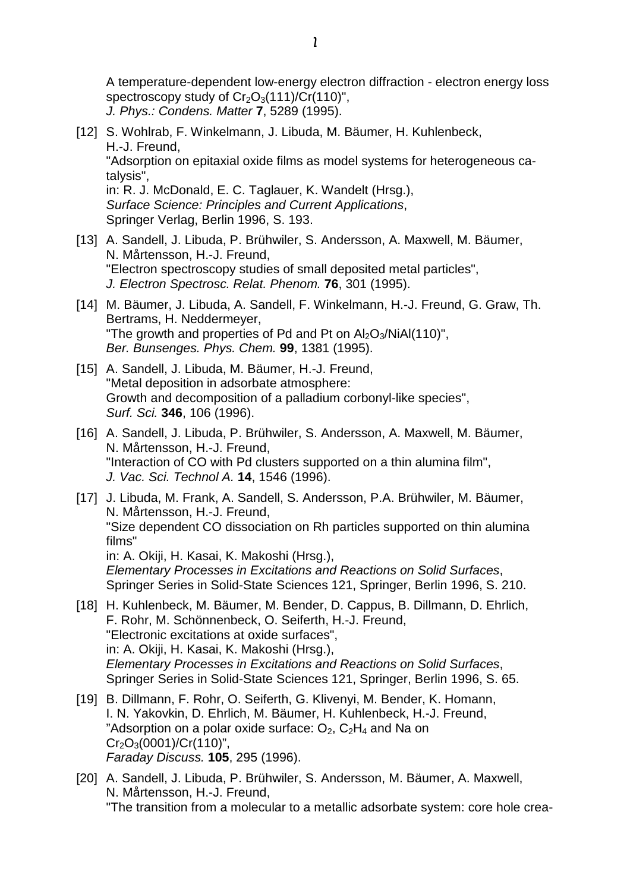A temperature-dependent low-energy electron diffraction - electron energy loss spectroscopy study of  $Cr_2O_3(111)/Cr(110)$ ", J. Phys.: Condens. Matter **7**, 5289 (1995).

- [12] S. Wohlrab, F. Winkelmann, J. Libuda, M. Bäumer, H. Kuhlenbeck, H.-J. Freund, "Adsorption on epitaxial oxide films as model systems for heterogeneous catalysis", in: R. J. McDonald, E. C. Taglauer, K. Wandelt (Hrsg.), Surface Science: Principles and Current Applications, Springer Verlag, Berlin 1996, S. 193.
- [13] A. Sandell, J. Libuda, P. Brühwiler, S. Andersson, A. Maxwell, M. Bäumer, N. Mårtensson, H.-J. Freund, "Electron spectroscopy studies of small deposited metal particles", J. Electron Spectrosc. Relat. Phenom. **76**, 301 (1995).
- [14] M. Bäumer, J. Libuda, A. Sandell, F. Winkelmann, H.-J. Freund, G. Graw, Th. Bertrams, H. Neddermeyer, "The growth and properties of Pd and Pt on  $Al_2O_3/NiAl(110)$ ", Ber. Bunsenges. Phys. Chem. **99**, 1381 (1995).
- [15] A. Sandell, J. Libuda, M. Bäumer, H.-J. Freund, "Metal deposition in adsorbate atmosphere: Growth and decomposition of a palladium corbonyl-like species", Surf. Sci. **346**, 106 (1996).
- [16] A. Sandell, J. Libuda, P. Brühwiler, S. Andersson, A. Maxwell, M. Bäumer, N. Mårtensson, H.-J. Freund, "Interaction of CO with Pd clusters supported on a thin alumina film", J. Vac. Sci. Technol A. **14**, 1546 (1996).
- [17] J. Libuda, M. Frank, A. Sandell, S. Andersson, P.A. Brühwiler, M. Bäumer, N. Mårtensson, H.-J. Freund, "Size dependent CO dissociation on Rh particles supported on thin alumina films" in: A. Okiji, H. Kasai, K. Makoshi (Hrsg.), Elementary Processes in Excitations and Reactions on Solid Surfaces, Springer Series in Solid-State Sciences 121, Springer, Berlin 1996, S. 210.
- [18] H. Kuhlenbeck, M. Bäumer, M. Bender, D. Cappus, B. Dillmann, D. Ehrlich, F. Rohr, M. Schönnenbeck, O. Seiferth, H.-J. Freund, "Electronic excitations at oxide surfaces", in: A. Okiji, H. Kasai, K. Makoshi (Hrsg.), Elementary Processes in Excitations and Reactions on Solid Surfaces, Springer Series in Solid-State Sciences 121, Springer, Berlin 1996, S. 65.
- [19] B. Dillmann, F. Rohr, O. Seiferth, G. Klivenyi, M. Bender, K. Homann, I. N. Yakovkin, D. Ehrlich, M. Bäumer, H. Kuhlenbeck, H.-J. Freund, "Adsorption on a polar oxide surface:  $O_2$ ,  $C_2H_4$  and Na on  $Cr_2O_3(0001)/Cr(110)^n$ , Faraday Discuss. **105**, 295 (1996).
- [20] A. Sandell, J. Libuda, P. Brühwiler, S. Andersson, M. Bäumer, A. Maxwell, N. Mårtensson, H.-J. Freund, "The transition from a molecular to a metallic adsorbate system: core hole crea-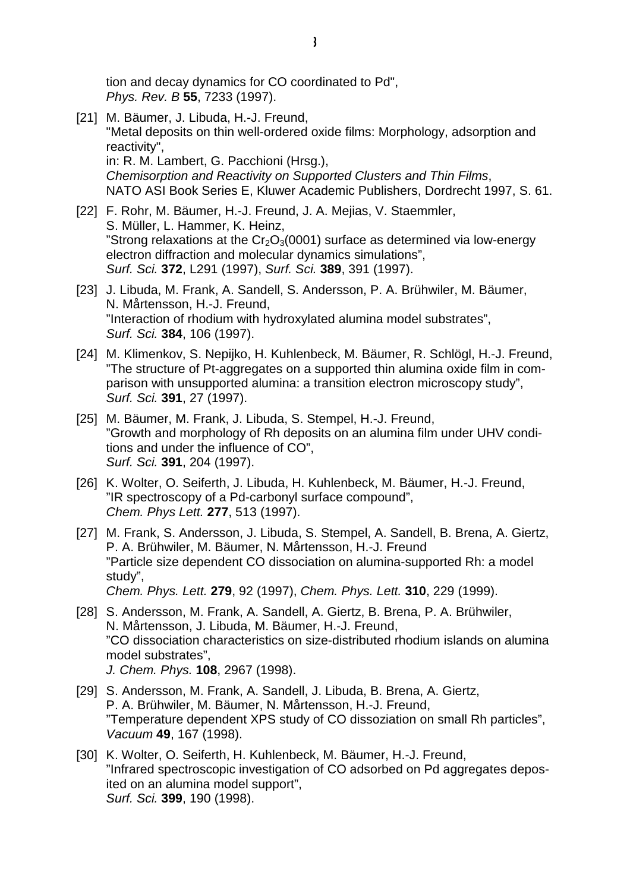tion and decay dynamics for CO coordinated to Pd", Phys. Rev. B **55**, 7233 (1997).

- [21] M. Bäumer, J. Libuda, H.-J. Freund, "Metal deposits on thin well-ordered oxide films: Morphology, adsorption and reactivity", in: R. M. Lambert, G. Pacchioni (Hrsg.), Chemisorption and Reactivity on Supported Clusters and Thin Films, NATO ASI Book Series E, Kluwer Academic Publishers, Dordrecht 1997, S. 61.
- [22] F. Rohr, M. Bäumer, H.-J. Freund, J. A. Mejias, V. Staemmler, S. Müller, L. Hammer, K. Heinz, "Strong relaxations at the  $Cr_2O_3(0001)$  surface as determined via low-energy electron diffraction and molecular dynamics simulations", Surf. Sci. **372**, L291 (1997), Surf. Sci. **389**, 391 (1997).
- [23] J. Libuda, M. Frank, A. Sandell, S. Andersson, P. A. Brühwiler, M. Bäumer, N. Mårtensson, H.-J. Freund, "Interaction of rhodium with hydroxylated alumina model substrates", Surf. Sci. **384**, 106 (1997).
- [24] M. Klimenkov, S. Nepijko, H. Kuhlenbeck, M. Bäumer, R. Schlögl, H.-J. Freund, "The structure of Pt-aggregates on a supported thin alumina oxide film in comparison with unsupported alumina: a transition electron microscopy study", Surf. Sci. **391**, 27 (1997).
- [25] M. Bäumer, M. Frank, J. Libuda, S. Stempel, H.-J. Freund, "Growth and morphology of Rh deposits on an alumina film under UHV conditions and under the influence of CO", Surf. Sci. **391**, 204 (1997).
- [26] K. Wolter, O. Seiferth, J. Libuda, H. Kuhlenbeck, M. Bäumer, H.-J. Freund, "IR spectroscopy of a Pd-carbonyl surface compound", Chem. Phys Lett. **277**, 513 (1997).
- [27] M. Frank, S. Andersson, J. Libuda, S. Stempel, A. Sandell, B. Brena, A. Giertz, P. A. Brühwiler, M. Bäumer, N. Mårtensson, H.-J. Freund "Particle size dependent CO dissociation on alumina-supported Rh: a model study", Chem. Phys. Lett. **279**, 92 (1997), Chem. Phys. Lett. **310**, 229 (1999).
- [28] S. Andersson, M. Frank, A. Sandell, A. Giertz, B. Brena, P. A. Brühwiler, N. Mårtensson, J. Libuda, M. Bäumer, H.-J. Freund, "CO dissociation characteristics on size-distributed rhodium islands on alumina model substrates", J. Chem. Phys. **108**, 2967 (1998).
- [29] S. Andersson, M. Frank, A. Sandell, J. Libuda, B. Brena, A. Giertz, P. A. Brühwiler, M. Bäumer, N. Mårtensson, H.-J. Freund, "Temperature dependent XPS study of CO dissoziation on small Rh particles", Vacuum **49**, 167 (1998).
- [30] K. Wolter, O. Seiferth, H. Kuhlenbeck, M. Bäumer, H.-J. Freund, "Infrared spectroscopic investigation of CO adsorbed on Pd aggregates deposited on an alumina model support", Surf. Sci. **399**, 190 (1998).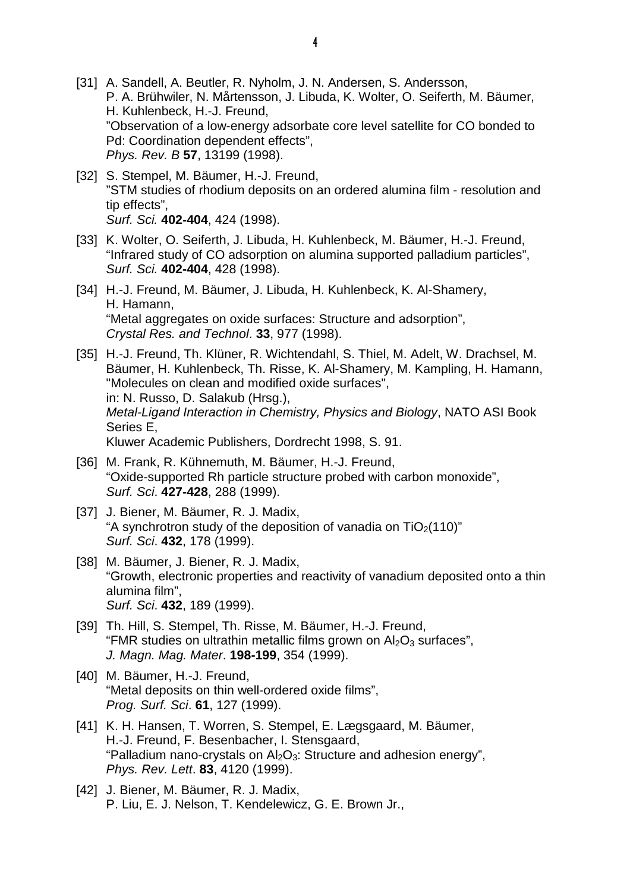- [31] A. Sandell, A. Beutler, R. Nyholm, J. N. Andersen, S. Andersson, P. A. Brühwiler, N. Mårtensson, J. Libuda, K. Wolter, O. Seiferth, M. Bäumer, H. Kuhlenbeck, H.-J. Freund, "Observation of a low-energy adsorbate core level satellite for CO bonded to Pd: Coordination dependent effects", Phys. Rev. B **57**, 13199 (1998).
- [32] S. Stempel, M. Bäumer, H.-J. Freund, "STM studies of rhodium deposits on an ordered alumina film - resolution and tip effects", Surf. Sci. **402-404**, 424 (1998).
- [33] K. Wolter, O. Seiferth, J. Libuda, H. Kuhlenbeck, M. Bäumer, H.-J. Freund, "Infrared study of CO adsorption on alumina supported palladium particles", Surf. Sci. **402-404**, 428 (1998).
- [34] H.-J. Freund, M. Bäumer, J. Libuda, H. Kuhlenbeck, K. Al-Shamery, H. Hamann, "Metal aggregates on oxide surfaces: Structure and adsorption", Crystal Res. and Technol. **33**, 977 (1998).
- [35] H.-J. Freund, Th. Klüner, R. Wichtendahl, S. Thiel, M. Adelt, W. Drachsel, M. Bäumer, H. Kuhlenbeck, Th. Risse, K. Al-Shamery, M. Kampling, H. Hamann, "Molecules on clean and modified oxide surfaces", in: N. Russo, D. Salakub (Hrsg.), Metal-Ligand Interaction in Chemistry, Physics and Biology, NATO ASI Book Series E, Kluwer Academic Publishers, Dordrecht 1998, S. 91.
- [36] M. Frank, R. Kühnemuth, M. Bäumer, H.-J. Freund, "Oxide-supported Rh particle structure probed with carbon monoxide", Surf. Sci. **427-428**, 288 (1999).
- [37] J. Biener, M. Bäumer, R. J. Madix, "A synchrotron study of the deposition of vanadia on  $TiO<sub>2</sub>(110)$ " Surf. Sci. **432**, 178 (1999).
- [38] M. Bäumer, J. Biener, R. J. Madix, "Growth, electronic properties and reactivity of vanadium deposited onto a thin alumina film", Surf. Sci. **432**, 189 (1999).
- [39] Th. Hill, S. Stempel, Th. Risse, M. Bäumer, H.-J. Freund, "FMR studies on ultrathin metallic films grown on  $Al_2O_3$  surfaces", J. Magn. Mag. Mater. **198-199**, 354 (1999).
- [40] M. Bäumer, H.-J. Freund, "Metal deposits on thin well-ordered oxide films", Prog. Surf. Sci. **61**, 127 (1999).
- [41] K. H. Hansen, T. Worren, S. Stempel, E. Lægsgaard, M. Bäumer, H.-J. Freund, F. Besenbacher, I. Stensgaard, "Palladium nano-crystals on  $Al_2O_3$ : Structure and adhesion energy", Phys. Rev. Lett. **83**, 4120 (1999).
- [42] J. Biener, M. Bäumer, R. J. Madix, P. Liu, E. J. Nelson, T. Kendelewicz, G. E. Brown Jr.,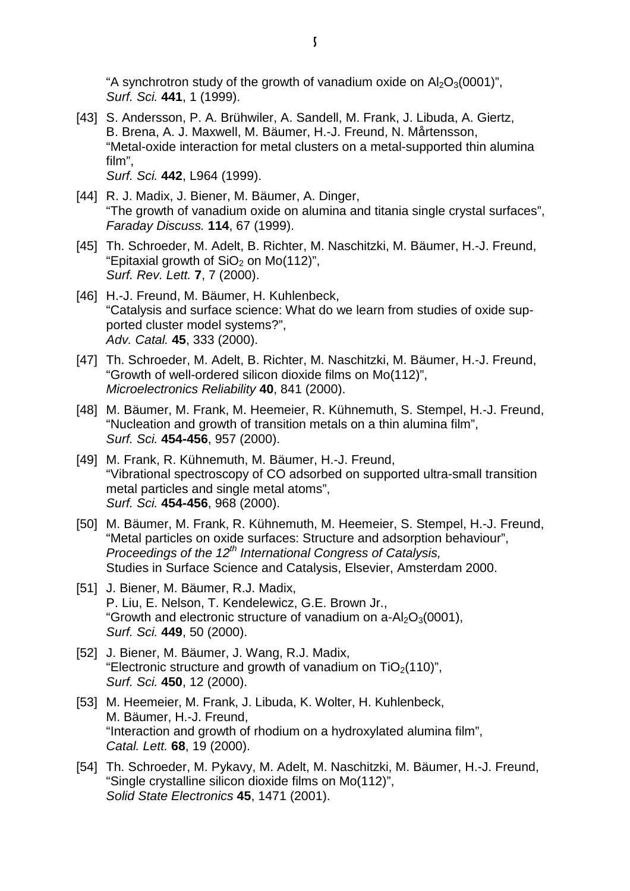"A synchrotron study of the growth of vanadium oxide on  $Al_2O_3(0001)$ ", Surf. Sci. **441**, 1 (1999).

- [43] S. Andersson, P. A. Brühwiler, A. Sandell, M. Frank, J. Libuda, A. Giertz, B. Brena, A. J. Maxwell, M. Bäumer, H.-J. Freund, N. Mårtensson, "Metal-oxide interaction for metal clusters on a metal-supported thin alumina film", Surf. Sci. **442**, L964 (1999).
- [44] R. J. Madix, J. Biener, M. Bäumer, A. Dinger, "The growth of vanadium oxide on alumina and titania single crystal surfaces", Faraday Discuss. **114**, 67 (1999).
- [45] Th. Schroeder, M. Adelt, B. Richter, M. Naschitzki, M. Bäumer, H.-J. Freund, "Epitaxial growth of  $SiO<sub>2</sub>$  on Mo(112)", Surf. Rev. Lett. **7**, 7 (2000).
- [46] H.-J. Freund, M. Bäumer, H. Kuhlenbeck, "Catalysis and surface science: What do we learn from studies of oxide supported cluster model systems?", Adv. Catal. **45**, 333 (2000).
- [47] Th. Schroeder, M. Adelt, B. Richter, M. Naschitzki, M. Bäumer, H.-J. Freund, "Growth of well-ordered silicon dioxide films on Mo(112)", Microelectronics Reliability **40**, 841 (2000).
- [48] M. Bäumer, M. Frank, M. Heemeier, R. Kühnemuth, S. Stempel, H.-J. Freund, "Nucleation and growth of transition metals on a thin alumina film", Surf. Sci. **454-456**, 957 (2000).
- [49] M. Frank, R. Kühnemuth, M. Bäumer, H.-J. Freund, "Vibrational spectroscopy of CO adsorbed on supported ultra-small transition metal particles and single metal atoms", Surf. Sci. **454-456**, 968 (2000).
- [50] M. Bäumer, M. Frank, R. Kühnemuth, M. Heemeier, S. Stempel, H.-J. Freund, "Metal particles on oxide surfaces: Structure and adsorption behaviour", Proceedings of the  $12^{th}$  International Congress of Catalysis, Studies in Surface Science and Catalysis, Elsevier, Amsterdam 2000.
- [51] J. Biener, M. Bäumer, R.J. Madix, P. Liu, E. Nelson, T. Kendelewicz, G.E. Brown Jr., "Growth and electronic structure of vanadium on  $a - Al_2O_3(0001)$ , Surf. Sci. **449**, 50 (2000).
- [52] J. Biener, M. Bäumer, J. Wang, R.J. Madix, "Electronic structure and growth of vanadium on  $TiO<sub>2</sub>(110)$ ", Surf. Sci. **450**, 12 (2000).
- [53] M. Heemeier, M. Frank, J. Libuda, K. Wolter, H. Kuhlenbeck, M. Bäumer, H.-J. Freund, "Interaction and growth of rhodium on a hydroxylated alumina film", Catal. Lett. **68**, 19 (2000).
- [54] Th. Schroeder, M. Pykavy, M. Adelt, M. Naschitzki, M. Bäumer, H.-J. Freund, "Single crystalline silicon dioxide films on Mo(112)", Solid State Electronics **45**, 1471 (2001).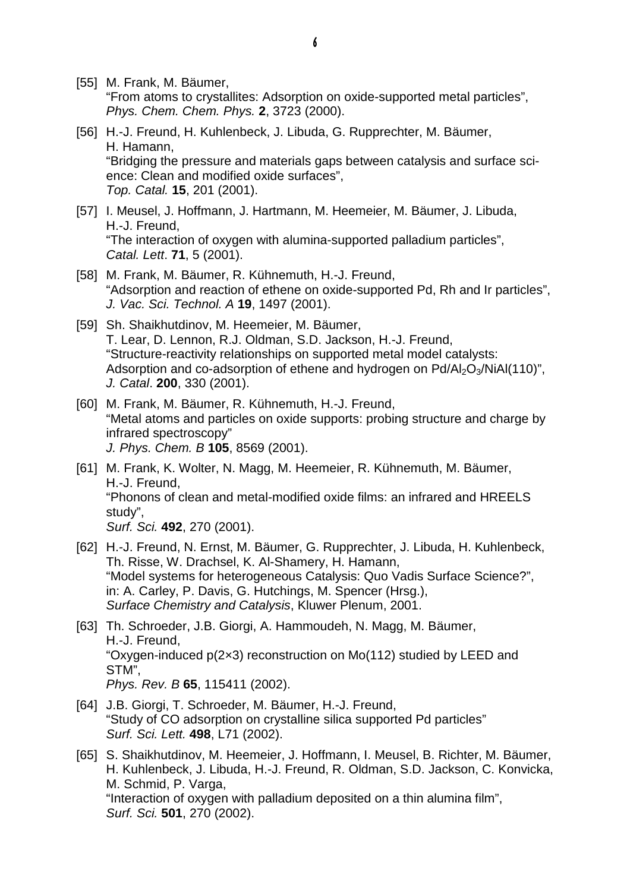- [55] M. Frank, M. Bäumer, "From atoms to crystallites: Adsorption on oxide-supported metal particles", Phys. Chem. Chem. Phys. **2**, 3723 (2000).
- [56] H.-J. Freund, H. Kuhlenbeck, J. Libuda, G. Rupprechter, M. Bäumer, H. Hamann, "Bridging the pressure and materials gaps between catalysis and surface science: Clean and modified oxide surfaces", Top. Catal. **15**, 201 (2001).
- [57] I. Meusel, J. Hoffmann, J. Hartmann, M. Heemeier, M. Bäumer, J. Libuda, H.-J. Freund, "The interaction of oxygen with alumina-supported palladium particles", Catal. Lett. **71**, 5 (2001).
- [58] M. Frank, M. Bäumer, R. Kühnemuth, H.-J. Freund, "Adsorption and reaction of ethene on oxide-supported Pd, Rh and Ir particles", J. Vac. Sci. Technol. A **19**, 1497 (2001).
- [59] Sh. Shaikhutdinov, M. Heemeier, M. Bäumer, T. Lear, D. Lennon, R.J. Oldman, S.D. Jackson, H.-J. Freund, "Structure-reactivity relationships on supported metal model catalysts: Adsorption and co-adsorption of ethene and hydrogen on  $Pd/AI_2O_3/NiAl(110)$ ", J. Catal. **200**, 330 (2001).
- [60] M. Frank, M. Bäumer, R. Kühnemuth, H.-J. Freund, "Metal atoms and particles on oxide supports: probing structure and charge by infrared spectroscopy" J. Phys. Chem. B **105**, 8569 (2001).
- [61] M. Frank, K. Wolter, N. Magg, M. Heemeier, R. Kühnemuth, M. Bäumer, H.-J. Freund, "Phonons of clean and metal-modified oxide films: an infrared and HREELS study", Surf. Sci. **492**, 270 (2001).
- [62] H.-J. Freund, N. Ernst, M. Bäumer, G. Rupprechter, J. Libuda, H. Kuhlenbeck, Th. Risse, W. Drachsel, K. Al-Shamery, H. Hamann, "Model systems for heterogeneous Catalysis: Quo Vadis Surface Science?", in: A. Carley, P. Davis, G. Hutchings, M. Spencer (Hrsg.), Surface Chemistry and Catalysis, Kluwer Plenum, 2001.
- [63] Th. Schroeder, J.B. Giorgi, A. Hammoudeh, N. Magg, M. Bäumer, H.-J. Freund, "Oxygen-induced p(2×3) reconstruction on Mo(112) studied by LEED and STM", Phys. Rev. B **65**, 115411 (2002).
- [64] J.B. Giorgi, T. Schroeder, M. Bäumer, H.-J. Freund, "Study of CO adsorption on crystalline silica supported Pd particles" Surf. Sci. Lett. **498**, L71 (2002).
- [65] S. Shaikhutdinov, M. Heemeier, J. Hoffmann, I. Meusel, B. Richter, M. Bäumer, H. Kuhlenbeck, J. Libuda, H.-J. Freund, R. Oldman, S.D. Jackson, C. Konvicka, M. Schmid, P. Varga, "Interaction of oxygen with palladium deposited on a thin alumina film", Surf. Sci. **501**, 270 (2002).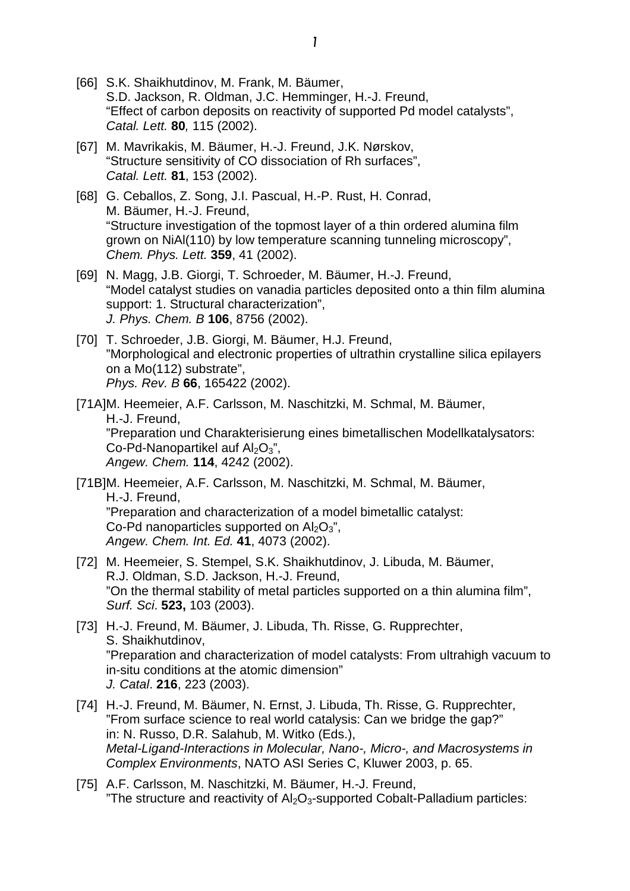- [66] S.K. Shaikhutdinov, M. Frank, M. Bäumer, S.D. Jackson, R. Oldman, J.C. Hemminger, H.-J. Freund, "Effect of carbon deposits on reactivity of supported Pd model catalysts", Catal. Lett. **80**, 115 (2002).
- [67] M. Mavrikakis, M. Bäumer, H.-J. Freund, J.K. Nørskov, "Structure sensitivity of CO dissociation of Rh surfaces", Catal. Lett. **81**, 153 (2002).
- [68] G. Ceballos, Z. Song, J.I. Pascual, H.-P. Rust, H. Conrad, M. Bäumer, H.-J. Freund, "Structure investigation of the topmost layer of a thin ordered alumina film grown on NiAl(110) by low temperature scanning tunneling microscopy", Chem. Phys. Lett. **359**, 41 (2002).
- [69] N. Magg, J.B. Giorgi, T. Schroeder, M. Bäumer, H.-J. Freund, "Model catalyst studies on vanadia particles deposited onto a thin film alumina support: 1. Structural characterization", J. Phys. Chem. B **106**, 8756 (2002).
- [70] T. Schroeder, J.B. Giorgi, M. Bäumer, H.J. Freund, "Morphological and electronic properties of ultrathin crystalline silica epilayers on a Mo(112) substrate", Phys. Rev. B **66**, 165422 (2002).

[71A] M. Heemeier, A.F. Carlsson, M. Naschitzki, M. Schmal, M. Bäumer, H.-J. Freund, "Preparation und Charakterisierung eines bimetallischen Modellkatalysators: Co-Pd-Nanopartikel auf  $Al_2O_3$ ", Angew. Chem. **114**, 4242 (2002).

[71B] M. Heemeier, A.F. Carlsson, M. Naschitzki, M. Schmal, M. Bäumer, H.-J. Freund, "Preparation and characterization of a model bimetallic catalyst: Co-Pd nanoparticles supported on  $Al_2O_3$ ", Angew. Chem. Int. Ed. **41**, 4073 (2002).

- [72] M. Heemeier, S. Stempel, S.K. Shaikhutdinov, J. Libuda, M. Bäumer, R.J. Oldman, S.D. Jackson, H.-J. Freund, "On the thermal stability of metal particles supported on a thin alumina film", Surf. Sci. **523,** 103 (2003).
- [73] H.-J. Freund, M. Bäumer, J. Libuda, Th. Risse, G. Rupprechter, S. Shaikhutdinov, "Preparation and characterization of model catalysts: From ultrahigh vacuum to in-situ conditions at the atomic dimension" J. Catal. **216**, 223 (2003).
- [74] H.-J. Freund, M. Bäumer, N. Ernst, J. Libuda, Th. Risse, G. Rupprechter, "From surface science to real world catalysis: Can we bridge the gap?" in: N. Russo, D.R. Salahub, M. Witko (Eds.), Metal-Ligand-Interactions in Molecular, Nano-, Micro-, and Macrosystems in Complex Environments, NATO ASI Series C, Kluwer 2003, p. 65.
- [75] A.F. Carlsson, M. Naschitzki, M. Bäumer, H.-J. Freund, "The structure and reactivity of  $Al_2O_3$ -supported Cobalt-Palladium particles: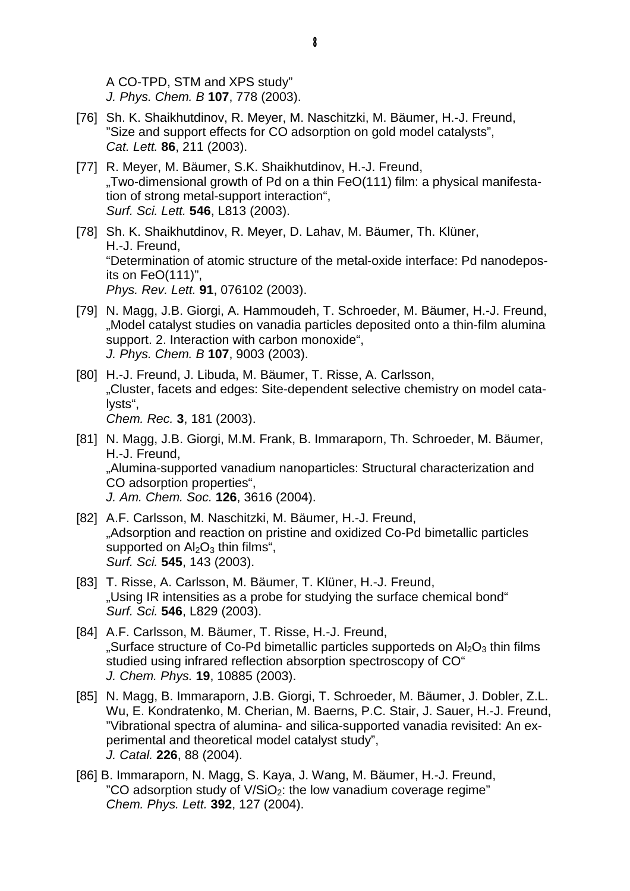A CO-TPD, STM and XPS study" J. Phys. Chem. B **107**, 778 (2003).

- [76] Sh. K. Shaikhutdinov, R. Meyer, M. Naschitzki, M. Bäumer, H.-J. Freund, "Size and support effects for CO adsorption on gold model catalysts", Cat. Lett. **86**, 211 (2003).
- [77] R. Meyer, M. Bäumer, S.K. Shaikhutdinov, H.-J. Freund, "Two-dimensional growth of Pd on a thin FeO(111) film: a physical manifestation of strong metal-support interaction", Surf. Sci. Lett. **546**, L813 (2003).
- [78] Sh. K. Shaikhutdinov, R. Meyer, D. Lahav, M. Bäumer, Th. Klüner, H.-J. Freund, "Determination of atomic structure of the metal-oxide interface: Pd nanodeposits on FeO(111)", Phys. Rev. Lett. **91**, 076102 (2003).
- [79] N. Magg, J.B. Giorgi, A. Hammoudeh, T. Schroeder, M. Bäumer, H.-J. Freund, "Model catalyst studies on vanadia particles deposited onto a thin-film alumina support. 2. Interaction with carbon monoxide", J. Phys. Chem. B **107**, 9003 (2003).
- [80] H.-J. Freund, J. Libuda, M. Bäumer, T. Risse, A. Carlsson, "Cluster, facets and edges: Site-dependent selective chemistry on model catalysts", Chem. Rec. **3**, 181 (2003).
- [81] N. Magg, J.B. Giorgi, M.M. Frank, B. Immaraporn, Th. Schroeder, M. Bäumer, H.-J. Freund, "Alumina-supported vanadium nanoparticles: Structural characterization and CO adsorption properties", J. Am. Chem. Soc. **126**, 3616 (2004).
- [82] A.F. Carlsson, M. Naschitzki, M. Bäumer, H.-J. Freund, "Adsorption and reaction on pristine and oxidized Co-Pd bimetallic particles supported on  $\text{Al}_2\text{O}_3$  thin films", Surf. Sci. **545**, 143 (2003).
- [83] T. Risse, A. Carlsson, M. Bäumer, T. Klüner, H.-J. Freund, "Using IR intensities as a probe for studying the surface chemical bond" Surf. Sci. **546**, L829 (2003).
- [84] A.F. Carlsson, M. Bäumer, T. Risse, H.-J. Freund, "Surface structure of Co-Pd bimetallic particles supporteds on  $Al_2O_3$  thin films studied using infrared reflection absorption spectroscopy of CO" J. Chem. Phys. **19**, 10885 (2003).
- [85] N. Magg, B. Immaraporn, J.B. Giorgi, T. Schroeder, M. Bäumer, J. Dobler, Z.L. Wu, E. Kondratenko, M. Cherian, M. Baerns, P.C. Stair, J. Sauer, H.-J. Freund, "Vibrational spectra of alumina- and silica-supported vanadia revisited: An experimental and theoretical model catalyst study", J. Catal. **226**, 88 (2004).
- [86] B. Immaraporn, N. Magg, S. Kaya, J. Wang, M. Bäumer, H.-J. Freund, "CO adsorption study of  $V/SiO<sub>2</sub>$ : the low vanadium coverage regime" Chem. Phys. Lett. **392**, 127 (2004).